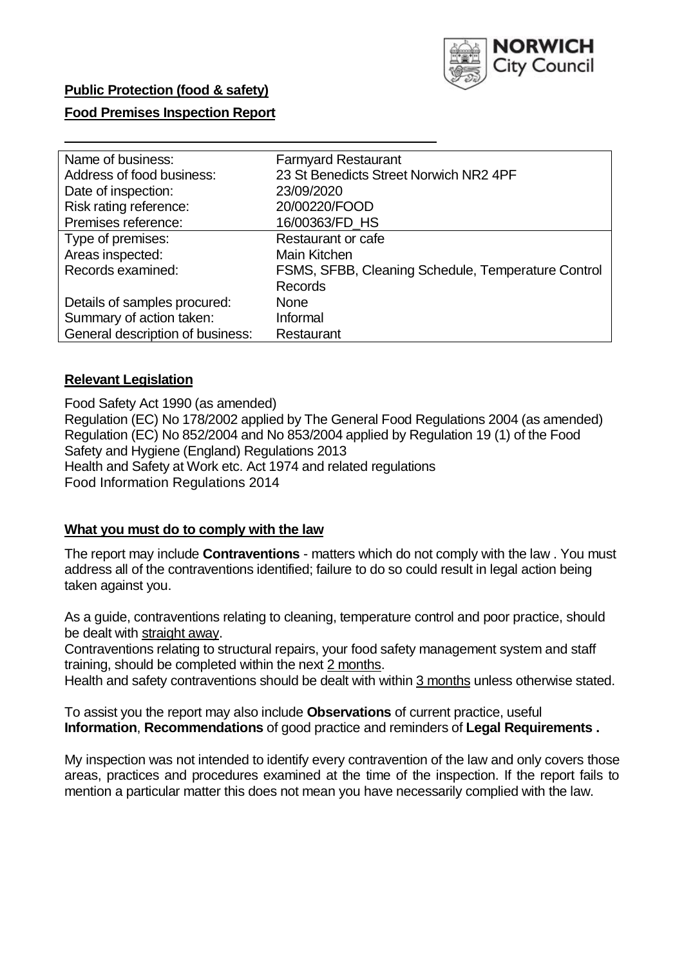

# **Public Protection (food & safety)**

## **Food Premises Inspection Report**

| Name of business:                | <b>Farmyard Restaurant</b>                         |
|----------------------------------|----------------------------------------------------|
| Address of food business:        | 23 St Benedicts Street Norwich NR2 4PF             |
| Date of inspection:              | 23/09/2020                                         |
| Risk rating reference:           | 20/00220/FOOD                                      |
| Premises reference:              | 16/00363/FD_HS                                     |
| Type of premises:                | Restaurant or cafe                                 |
| Areas inspected:                 | Main Kitchen                                       |
| Records examined:                | FSMS, SFBB, Cleaning Schedule, Temperature Control |
|                                  | <b>Records</b>                                     |
| Details of samples procured:     | <b>None</b>                                        |
| Summary of action taken:         | Informal                                           |
| General description of business: | Restaurant                                         |

## **Relevant Legislation**

 Food Safety Act 1990 (as amended) Regulation (EC) No 178/2002 applied by The General Food Regulations 2004 (as amended) Regulation (EC) No 852/2004 and No 853/2004 applied by Regulation 19 (1) of the Food Safety and Hygiene (England) Regulations 2013 Health and Safety at Work etc. Act 1974 and related regulations Food Information Regulations 2014

#### **What you must do to comply with the law**

 The report may include **Contraventions** - matters which do not comply with the law . You must address all of the contraventions identified; failure to do so could result in legal action being taken against you.

 As a guide, contraventions relating to cleaning, temperature control and poor practice, should be dealt with straight away.

 Contraventions relating to structural repairs, your food safety management system and staff training, should be completed within the next 2 months.

Health and safety contraventions should be dealt with within 3 months unless otherwise stated.

 To assist you the report may also include **Observations** of current practice, useful **Information**, **Recommendations** of good practice and reminders of **Legal Requirements .** 

 My inspection was not intended to identify every contravention of the law and only covers those areas, practices and procedures examined at the time of the inspection. If the report fails to mention a particular matter this does not mean you have necessarily complied with the law.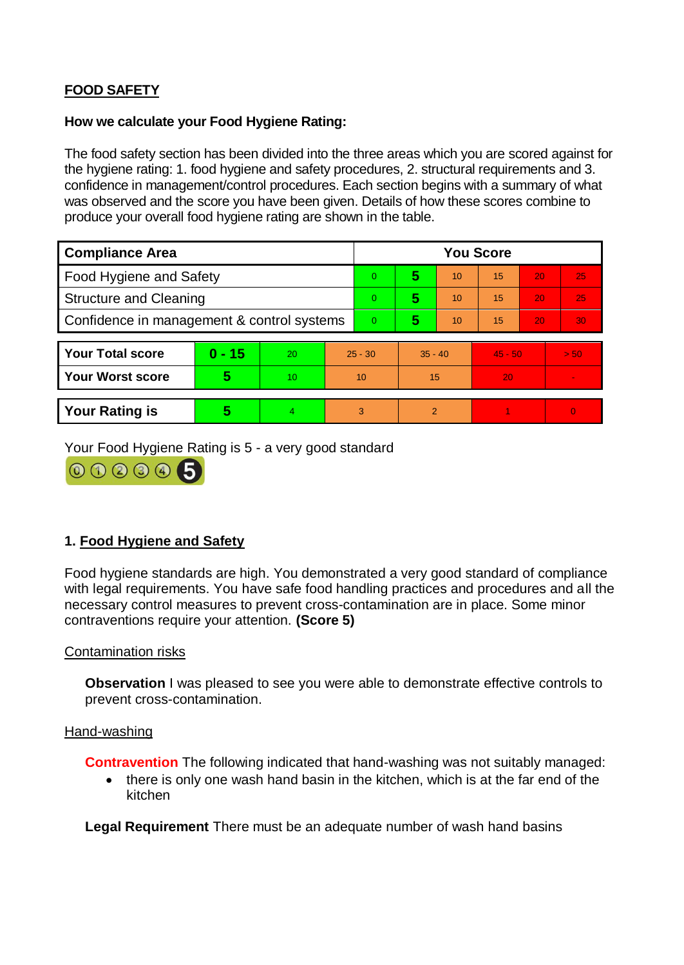## **FOOD SAFETY**

## **How we calculate your Food Hygiene Rating:**

 The food safety section has been divided into the three areas which you are scored against for the hygiene rating: 1. food hygiene and safety procedures, 2. structural requirements and 3. confidence in management/control procedures. Each section begins with a summary of what was observed and the score you have been given. Details of how these scores combine to produce your overall food hygiene rating are shown in the table.

| <b>Compliance Area</b>                     |          |    |                | <b>You Score</b> |                |    |           |    |                |  |  |
|--------------------------------------------|----------|----|----------------|------------------|----------------|----|-----------|----|----------------|--|--|
| Food Hygiene and Safety                    |          |    |                | $\Omega$         | 5              | 10 | 15        | 20 | 25             |  |  |
| <b>Structure and Cleaning</b>              |          |    | $\overline{0}$ | 5                | 10             | 15 | 20        | 25 |                |  |  |
| Confidence in management & control systems |          |    | $\Omega$       | 5                | 10             | 15 | 20        | 30 |                |  |  |
|                                            |          |    |                |                  |                |    |           |    |                |  |  |
| <b>Your Total score</b>                    | $0 - 15$ | 20 | $25 - 30$      |                  | $35 - 40$      |    | $45 - 50$ |    | > 50           |  |  |
| <b>Your Worst score</b>                    | 5        | 10 | 10             |                  | 15             |    | 20        |    | $\blacksquare$ |  |  |
|                                            |          |    |                |                  |                |    |           |    |                |  |  |
| <b>Your Rating is</b>                      | 5        | 4  | 3              |                  | $\overline{2}$ |    |           |    | $\Omega$       |  |  |

Your Food Hygiene Rating is 5 - a very good standard



## **1. Food Hygiene and Safety**

 with legal requirements. You have safe food handling practices and procedures and all the necessary control measures to prevent cross-contamination are in place. Some minor Food hygiene standards are high. You demonstrated a very good standard of compliance contraventions require your attention. **(Score 5)** 

## Contamination risks

**Observation** I was pleased to see you were able to demonstrate effective controls to prevent cross-contamination.

#### Hand-washing

**Contravention** The following indicated that hand-washing was not suitably managed:

• there is only one wash hand basin in the kitchen, which is at the far end of the kitchen

**Legal Requirement** There must be an adequate number of wash hand basins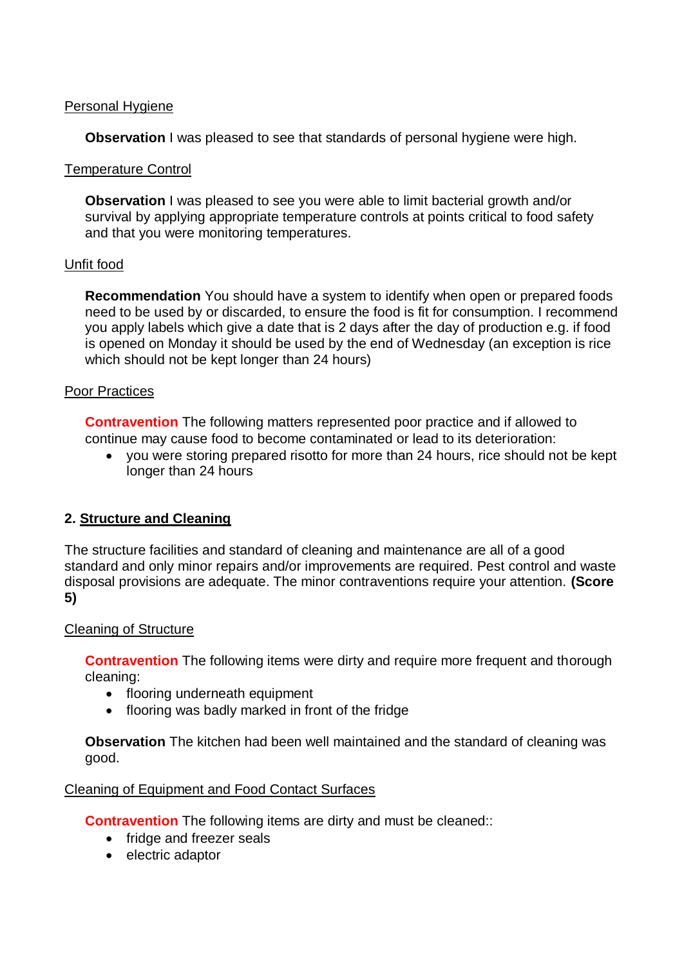## Personal Hygiene

**Observation** I was pleased to see that standards of personal hygiene were high.

### Temperature Control

 **Observation** I was pleased to see you were able to limit bacterial growth and/or survival by applying appropriate temperature controls at points critical to food safety and that you were monitoring temperatures.

### Unfit food

 **Recommendation** You should have a system to identify when open or prepared foods you apply labels which give a date that is 2 days after the day of production e.g. if food is opened on Monday it should be used by the end of Wednesday (an exception is rice need to be used by or discarded, to ensure the food is fit for consumption. I recommend which should not be kept longer than 24 hours)

### Poor Practices

 continue may cause food to become contaminated or lead to its deterioration: **Contravention** The following matters represented poor practice and if allowed to

 you were storing prepared risotto for more than 24 hours, rice should not be kept longer than 24 hours

## **2. Structure and Cleaning**

The structure facilities and standard of cleaning and maintenance are all of a good standard and only minor repairs and/or improvements are required. Pest control and waste disposal provisions are adequate. The minor contraventions require your attention. **(Score 5)** 

#### Cleaning of Structure

**Contravention** The following items were dirty and require more frequent and thorough cleaning:

- flooring underneath equipment
- flooring was badly marked in front of the fridge

**Observation** The kitchen had been well maintained and the standard of cleaning was good.

#### Cleaning of Equipment and Food Contact Surfaces

**Contravention** The following items are dirty and must be cleaned::

- fridge and freezer seals
- electric adaptor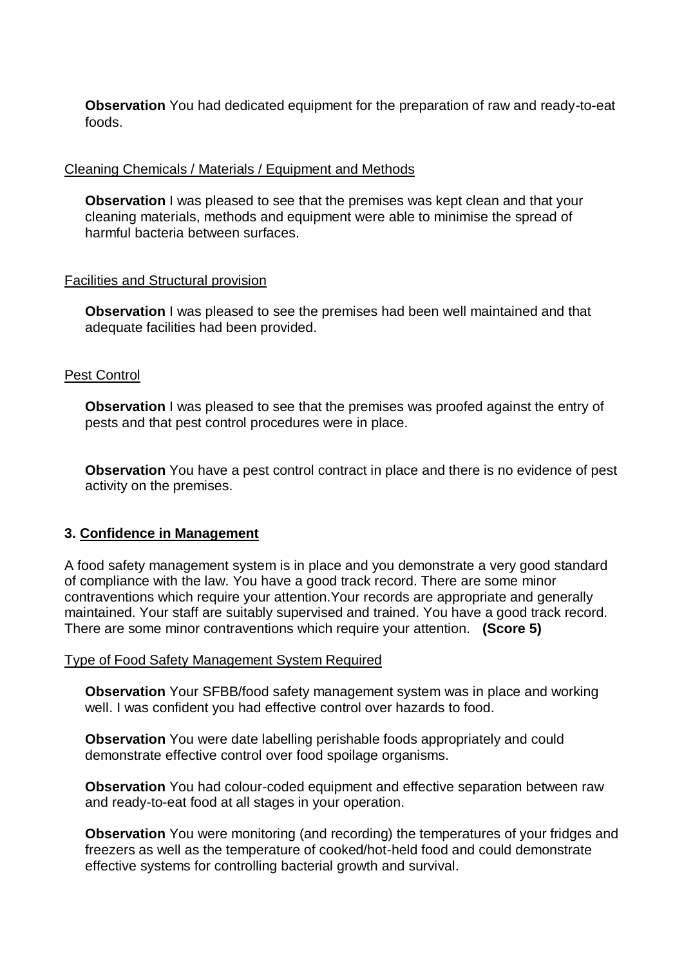**Observation** You had dedicated equipment for the preparation of raw and ready-to-eat foods.

## Cleaning Chemicals / Materials / Equipment and Methods

**Observation I** was pleased to see that the premises was kept clean and that your cleaning materials, methods and equipment were able to minimise the spread of harmful bacteria between surfaces.

### Facilities and Structural provision

**Observation** I was pleased to see the premises had been well maintained and that adequate facilities had been provided.

## Pest Control

**Observation** I was pleased to see that the premises was proofed against the entry of pests and that pest control procedures were in place.

**Observation** You have a pest control contract in place and there is no evidence of pest activity on the premises.

## **3. Confidence in Management**

 of compliance with the law. You have a good track record. There are some minor maintained. Your staff are suitably supervised and trained. You have a good track record. A food safety management system is in place and you demonstrate a very good standard contraventions which require your attention.Your records are appropriate and generally There are some minor contraventions which require your attention. **(Score 5)** 

#### Type of Food Safety Management System Required

**Observation** Your SFBB/food safety management system was in place and working well. I was confident you had effective control over hazards to food.

**Observation** You were date labelling perishable foods appropriately and could demonstrate effective control over food spoilage organisms.

**Observation** You had colour-coded equipment and effective separation between raw and ready-to-eat food at all stages in your operation.

 **Observation** You were monitoring (and recording) the temperatures of your fridges and freezers as well as the temperature of cooked/hot-held food and could demonstrate effective systems for controlling bacterial growth and survival.